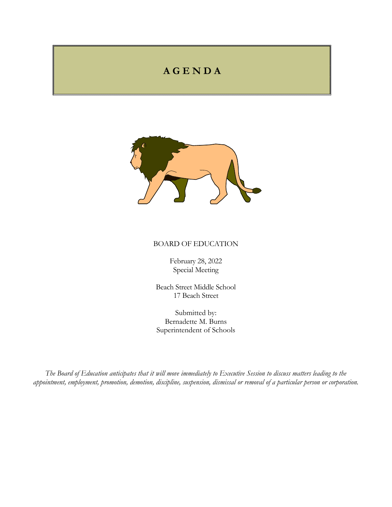## **A G E N D A**



## BOARD OF EDUCATION

February 28, 2022 Special Meeting

Beach Street Middle School 17 Beach Street

Submitted by: Bernadette M. Burns Superintendent of Schools

*The Board of Education anticipates that it will move immediately to Executive Session to discuss matters leading to the appointment, employment, promotion, demotion, discipline, suspension, dismissal or removal of a particular person or corporation.*